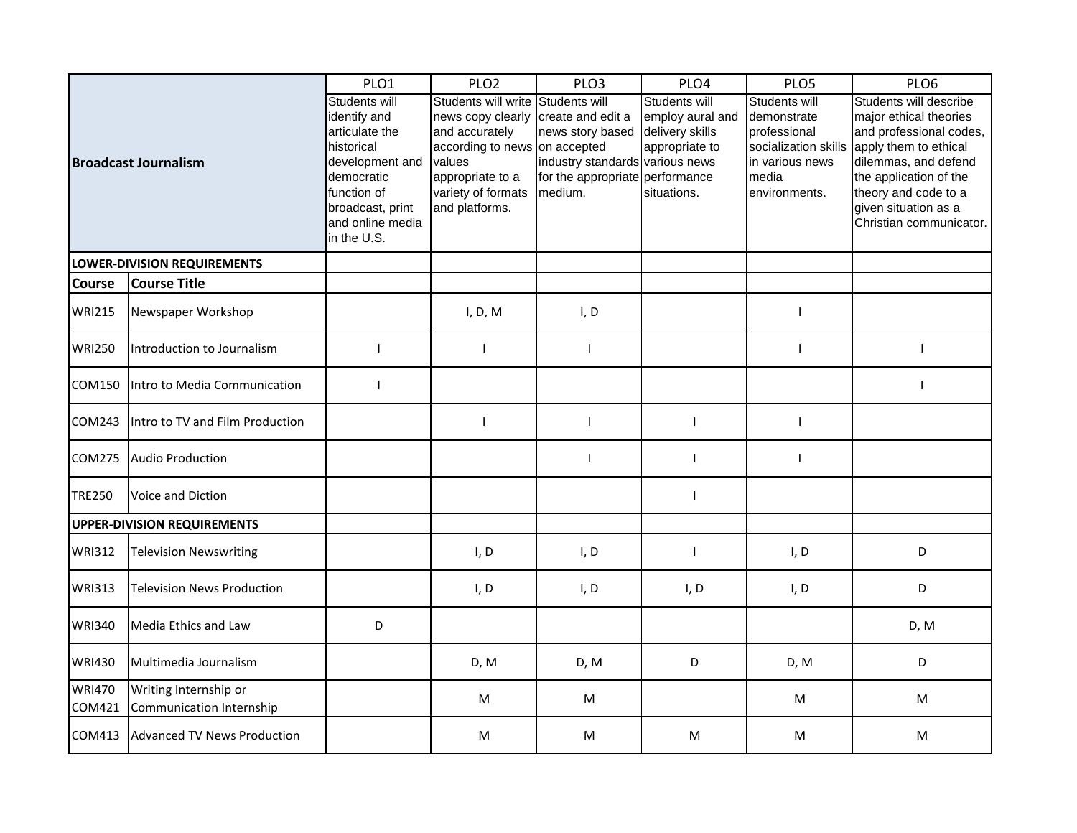| <b>Broadcast Journalism</b>        |                                                   | PLO1                                                                                                                                                                 | PLO <sub>2</sub>                                                                                                                                                                                  | PLO <sub>3</sub>                                                                                  | PLO4                                                                                  | PLO5                                                                                                              | PLO6                                                                                                                                                                                                                              |
|------------------------------------|---------------------------------------------------|----------------------------------------------------------------------------------------------------------------------------------------------------------------------|---------------------------------------------------------------------------------------------------------------------------------------------------------------------------------------------------|---------------------------------------------------------------------------------------------------|---------------------------------------------------------------------------------------|-------------------------------------------------------------------------------------------------------------------|-----------------------------------------------------------------------------------------------------------------------------------------------------------------------------------------------------------------------------------|
|                                    |                                                   | Students will<br>identify and<br>articulate the<br>historical<br>development and<br>democratic<br>function of<br>broadcast, print<br>and online media<br>in the U.S. | Students will write Students will<br>news copy clearly create and edit a<br>and accurately<br>according to news on accepted<br>values<br>appropriate to a<br>variety of formats<br>and platforms. | news story based<br>industry standards various news<br>for the appropriate performance<br>medium. | Students will<br>employ aural and<br>delivery skills<br>appropriate to<br>situations. | Students will<br>demonstrate<br>professional<br>socialization skills<br>in various news<br>media<br>environments. | Students will describe<br>major ethical theories<br>and professional codes,<br>apply them to ethical<br>dilemmas, and defend<br>the application of the<br>theory and code to a<br>given situation as a<br>Christian communicator. |
| LOWER-DIVISION REQUIREMENTS        |                                                   |                                                                                                                                                                      |                                                                                                                                                                                                   |                                                                                                   |                                                                                       |                                                                                                                   |                                                                                                                                                                                                                                   |
| <b>Course</b>                      | <b>Course Title</b>                               |                                                                                                                                                                      |                                                                                                                                                                                                   |                                                                                                   |                                                                                       |                                                                                                                   |                                                                                                                                                                                                                                   |
| <b>WRI215</b>                      | Newspaper Workshop                                |                                                                                                                                                                      | I, D, M                                                                                                                                                                                           | I, D                                                                                              |                                                                                       | T                                                                                                                 |                                                                                                                                                                                                                                   |
| <b>WRI250</b>                      | Introduction to Journalism                        | $\mathbf{I}$                                                                                                                                                         | $\mathbf{I}$                                                                                                                                                                                      | T                                                                                                 |                                                                                       | T                                                                                                                 |                                                                                                                                                                                                                                   |
| COM150                             | Intro to Media Communication                      | $\mathbf{I}$                                                                                                                                                         |                                                                                                                                                                                                   |                                                                                                   |                                                                                       |                                                                                                                   |                                                                                                                                                                                                                                   |
| COM243                             | Intro to TV and Film Production                   |                                                                                                                                                                      | $\mathbf{I}$                                                                                                                                                                                      | $\mathbf{I}$                                                                                      | $\mathbf{I}$                                                                          | $\mathbf{I}$                                                                                                      |                                                                                                                                                                                                                                   |
| <b>COM275</b>                      | <b>Audio Production</b>                           |                                                                                                                                                                      |                                                                                                                                                                                                   |                                                                                                   | $\mathbf{I}$                                                                          |                                                                                                                   |                                                                                                                                                                                                                                   |
| <b>TRE250</b>                      | Voice and Diction                                 |                                                                                                                                                                      |                                                                                                                                                                                                   |                                                                                                   | $\mathbf{I}$                                                                          |                                                                                                                   |                                                                                                                                                                                                                                   |
| <b>UPPER-DIVISION REQUIREMENTS</b> |                                                   |                                                                                                                                                                      |                                                                                                                                                                                                   |                                                                                                   |                                                                                       |                                                                                                                   |                                                                                                                                                                                                                                   |
| <b>WRI312</b>                      | <b>Television Newswriting</b>                     |                                                                                                                                                                      | I, D                                                                                                                                                                                              | I, D                                                                                              | $\mathbf{I}$                                                                          | I, D                                                                                                              | D                                                                                                                                                                                                                                 |
| <b>WRI313</b>                      | <b>Television News Production</b>                 |                                                                                                                                                                      | I, D                                                                                                                                                                                              | I, D                                                                                              | I, D                                                                                  | I, D                                                                                                              | D                                                                                                                                                                                                                                 |
| <b>WRI340</b>                      | Media Ethics and Law                              | D                                                                                                                                                                    |                                                                                                                                                                                                   |                                                                                                   |                                                                                       |                                                                                                                   | D, M                                                                                                                                                                                                                              |
| <b>WRI430</b>                      | Multimedia Journalism                             |                                                                                                                                                                      | D, M                                                                                                                                                                                              | D, M                                                                                              | D                                                                                     | D, M                                                                                                              | D                                                                                                                                                                                                                                 |
| <b>WRI470</b><br>COM421            | Writing Internship or<br>Communication Internship |                                                                                                                                                                      | M                                                                                                                                                                                                 | M                                                                                                 |                                                                                       | M                                                                                                                 | M                                                                                                                                                                                                                                 |
| COM413                             | Advanced TV News Production                       |                                                                                                                                                                      | M                                                                                                                                                                                                 | M                                                                                                 | M                                                                                     | M                                                                                                                 | M                                                                                                                                                                                                                                 |